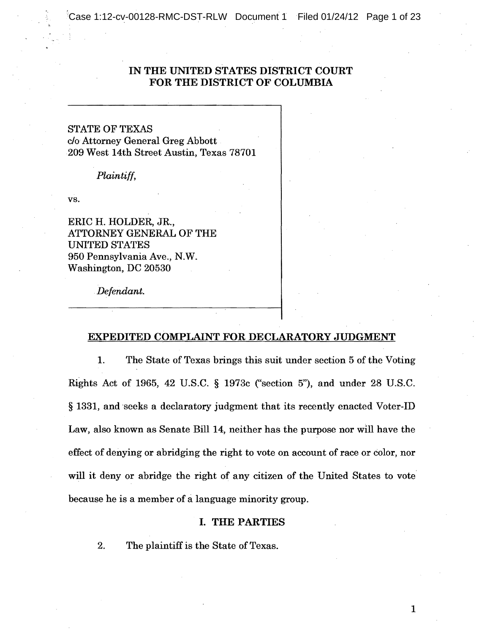Case 1:12-cv-00128-RMC-DST-RLW Document 1 Filed 01/24/12 Page 1 of 23

# IN THE UNITED STATES DISTRICT COURT FOR THE DISTRICT OF COLUMBIA

STATE OF TEXAS c/o Attorney General Greg Abbott 209 West 14th Street Austin, Texas 78701

*Plaintiff,* 

vs.

ERIC H. HOLDER, JR., ATTORNEY GENERAL OF THE UNITED STATES 950 Pennsylvania Ave., N.W. Washington, DC 20530

*. Defendant.* 

## EXPEDITED COMPLAINT FOR DECLARATORY JUDGMENT

1. The State of Texas brings this suit under section 5 of the Voting Rights Act of 1965, 42 U.S.C. § 1973c ("section 5"), and under 28 U.S.C. § 1331, and 'seeks a declaratory judgment that its recently enacted Voter-ID Law, also known as Senate Bill 14, neither has the purpose nor WIll have the effect of denying or abridging the right to vote on account of race or color, nor will it deny or abridge the right of any citizen of the United States to vote because he is a member of a language minority group.

## I. THE PARTIES

2. The plaintiff is the State of Texas.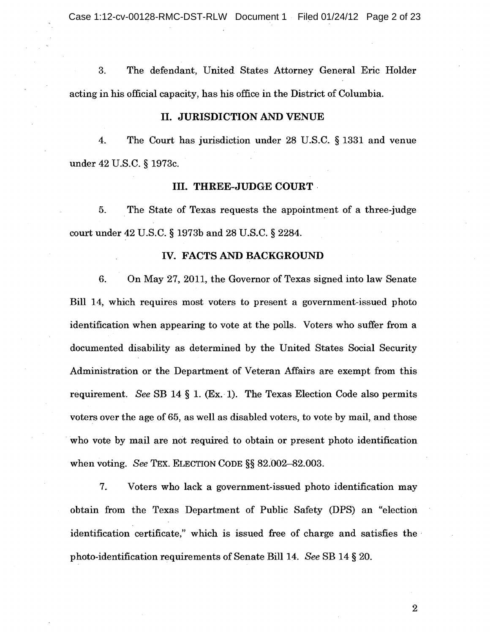Case 1:12-cv-00128-RMC-DST-RLW Document 1 Filed 01/24/12 Page 2 of 23

3. The defendant, United States Attorney General Eric Holder acting in his official capacity, has his office in the District of Columbia.

## II. JURISDICTION AND VENUE

4. The Court has jurisdiction under 28 U.S.C. § 1331 and venue under 42 U.S.C. § 1973c.

#### III. THREE-JUDGE COURT

5. The State of Texas requests the appointment of a three-judge court under 42 U.S.C. § 1973b and 28 U.S.C. § 2284.

# IV. FACTS AND BACKGROUND

6. On May 27, 2011, the Governor of Texas signed into law Senate Bill 14, which requires most voters to present a government-issued photo identification when appearing to vote at the polls. Voters who suffer from a documented disability as determined by the United States Social Security Administration or the Department of Veteran Affairs are exempt from this requirement. *See* SB 14 § 1. (Ex. 1). The Texas Election Code also permits voters over the age of 65, as well as disabled voters, to vote by mail, and those who vote by mail are not required to obtain or present photo identification when voting. *See* TEX. ELECTION CODE §§ 82.002-82.003.

7. Voters who lack a government-issued photo identification may obtain from the Texas Department of Public Safety (DPS) an "election identification certificate," which is issued free of charge and satisfies the' photo-identification requirements of Senate Bill 14. *See* SB 14 § 20.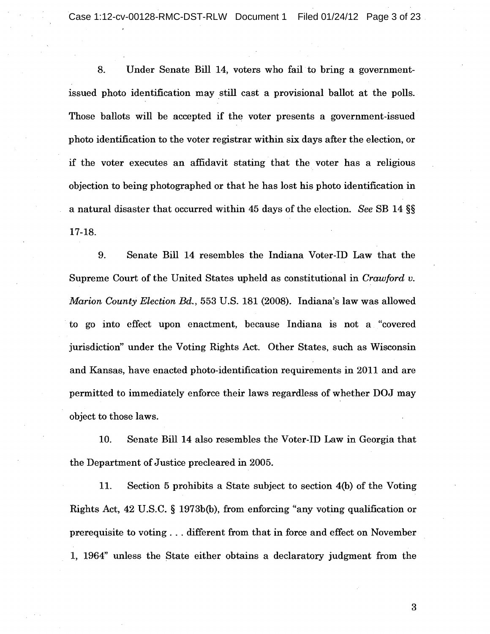Case 1:12-cv-00128-RMC-DST-RLW Document 1 Filed 01/24/12 Page 3 of 23

8. Under Senate Bill 14, voters who fail to bring a governmentissued photo identification may still cast a provisional ballot at the polls. Those ballots will be accepted if the voter presents a government-issued photo identification to the voter registrar within six days after the election, or if the voter executes an affidavit stating that the voter has a religious objection to being photographed or that he has lost his photo identification in a natural disaster that occurred within 45 days of the election. *See* SB 14 §§ 17-18.

9. Senate Bill 14 resembles the Indiana Voter-ID Law that the Supreme Court of the United States upheld as constitutional in *Crawford v. Marion County Election Bd.,* 553 U.S. 181 (2008). Indiana's law was allowed to go into effect upon enactment, because Indiana is not a "covered" jurisdiction" under the Voting Rights Act. Other States, such as Wisconsin and Kansas, have enacted photo-identification requirements in 2011 and are permitted to immediately enforce their laws regardless of whether DOJ may object to those laws.

10. Senate Bill 14 also resembles the Voter-ID Law in Georgia that the Department of Justice precleared in 2005.

11. Section 5 prohibits a State subject to section 4(b) of the Voting Rights Act, 42 U.S.C. § 1973b(b), from enforcing "any voting qualification or prerequisite to voting ... different from that in force andeffect on November 1, 1964" unless the State either obtains a declaratory judgment from the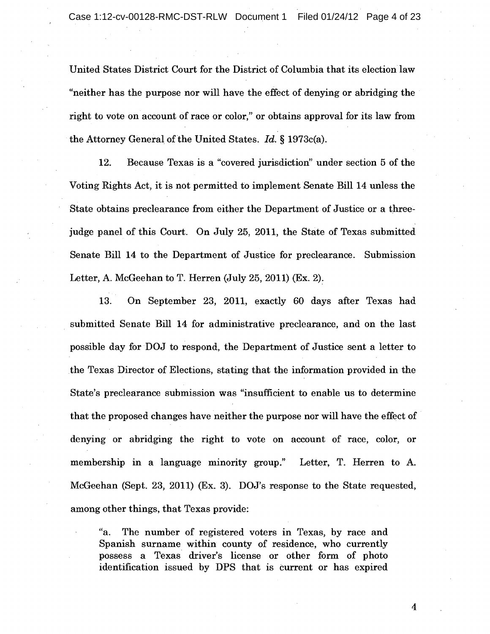United States District Court for the District of Columbia that its election law "neither has the purpose nor will have the effect of denying or abridging the right to vote on account of race or color," or obtains approval for its law from the Attorney General of the United States. *Id.* § 1973c(a).

12. Because Texas is a "covered jurisdiction" under section 5 of the Voting Rights Act, it is not permitted to implement Senate Bill 14 unless the State obtains preclearance from either the Department of Justice or a threejudge panel of this Court. On July 25, 2011, the State of Texas submitted Senate Bill 14 to the Department of Justice for preclearance. Submission Letter, A. McGeehan to T. Herren (July 25, 2011) (Ex. 2).

13. On September 23, 2011, exactly 60 days after Texas had submitted Senate Bill 14 for administrative preclearance, and on the last possible day for DOJ to respond, the Department of Justice sent a letter to the Texas Director of Elections, stating that the information provided in the State's preclearance submission was "insufficient to enable us to determine that the proposed changes have neither the purpose nor will have the effect of . denying or abridging the right to vote on account of race, color, or membership in a language minority group." Letter, T. Herren to A. McGeehan (Sept. 23, 2011) (Ex. 3). DOJ's response to the State requested, among other things, that Texas provide:

"a. The number of registered voters in Texas, by race and Spanish surname within county of residence, who currently possess a Texas driver's license or other form of photo identification issued by DPS that is current or has expired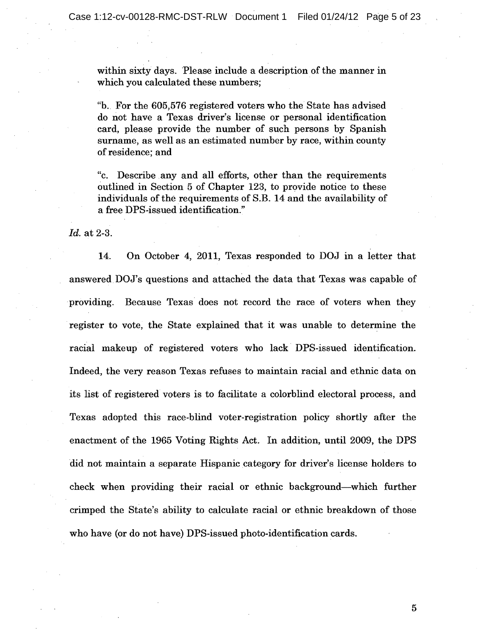within sixty days. Please include a description of the manner in which you calculated these numbers;

"b.. For the 605,576 registered voters who the State has advised "b .. do not have a Texas driver's license or personal identification card, please provide the number of such persons by Spanish surname, as well as an estimated number by race, within county of residence; and

"c. Describe any and all efforts, other than the requirements outlined in Section 5 of Chapter 123, to provide notice to these individuals of the requirements of S.B. 14 and the availability of a free DPS-issued identification."

*ld.* at 2-3.

14. On October 4, 2011, Texas responded to DOJ in a letter that answered. DOJ's questions and attached the data that Texas was capable of providing. Because Texas does not record the race of voters when they register to vote, the State explained that it was unable to determine the racial makeup of registered voters who lack' DPS-issued identification. Indeed, the very reason Texas refuses to maintain racial and ethnic data on its list of registered voters is to facilitate a colorblind electoral process, and Texas adopted this race-blind voter-registration policy shortly after the enactment of the 1965 Voting Rights Act. In addition, until 2009, the DPS did not maintain a separate Hispanic category for driver's license holders to check when providing their racial or ethnic background-which further crimped the State's ability to calculate racial or ethnic breakdown of those who have (or do not have) DPS-issued photo-identification cards.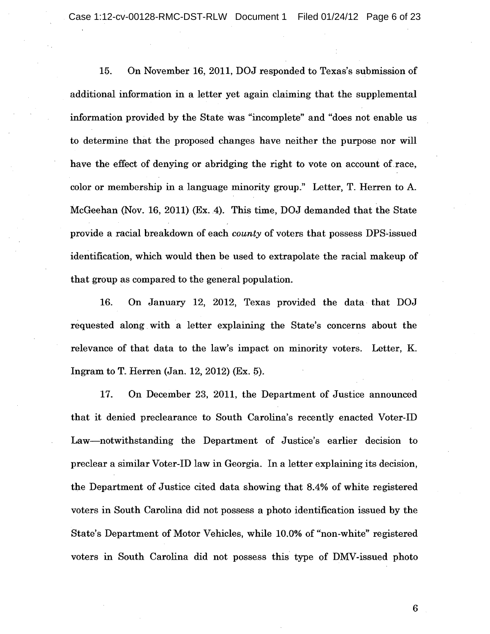Case 1:12-cv-00128-RMC-DST-RLW Document 1 Filed 01/24/12 Page 6 of 23

15. On November 16, 2011, DOJ responded to Texas's submission of additional information in a letter yet again claiming that the supplemental information provided by the State was "incomplete" and "does not enable us to determine that the proposed changes have neither the purpose nor will have the effect of denying or abridging the right to vote on account of race, color or membership in a language minority group." Letter, T. Herren to A. McGeehan (Nov. 16, 2011) (Ex. 4). This time, DOJ demanded that the State provide a racial breakdown of each *county* of voters that possess DPS-issued identification, which would then be used to extrapolate the racial makeup of that group as compared to the general population.

16. On January 12, 2012, Texas provided the data that DOJ requested along. with a letter explaining the State's concerns about the relevance of that data to the law's impact on minority voters. Letter, K. Ingram to T. Herren (Jan. 12, 2012) (Ex. 5).

17. On December 23, 2011, the Department of Justice announced that it denied preclearance to South Carolina's recently enacted Voter-ID Law-notwithstanding the Department of Justice's earlier decision to preclear a similar Voter-ID law in Georgia. In a letter explaining its decision, the Department of Justice cited data showing that 8.4% of white registered voters in South Carolina did not possess a photo identification issued by the State's Department of Motor Vehicles, while 10.0% of "non-white" registered voters in South Carolina did not possess this type of DMV-issued photo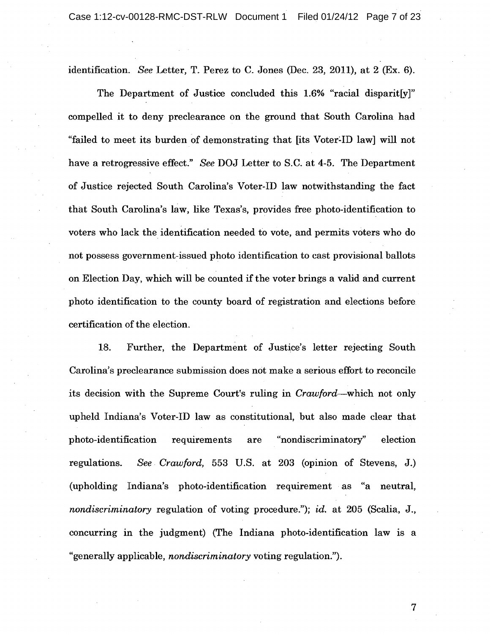identification. *See* Letter, T. Perez to C. Jones (Dec. 23, 2011), at 2 (Ex. 6).

The Department of Justice concluded this 1.6% "racial disparit[y]" compelled it to deny preclearance on the ground that South Carolina had "failed to meet its burden of demonstrating that [its Voter:ID law] will not have a retrogressive effect." *See* DOJ Letter to S.C. at 4-5. The Department of Justice rejected South Carolina's Voter-ID law notwithstanding the fact that South Carolina's law, like Texas's, provides free photo-identification to voters who lack the identification needed to vote, and permits voters who do not possess government-issued photo identification to cast provisional ballots on Election Day, which will be counted if the voter brings a valid and current photo identification to the county board of registration and elections before certification of the election.

18. Further, the Department of Justice's letter rejecting South Carolina's preclearance submission does not make a serious effort to reconcile its decision with the Supreme Court's ruling in *Crawford-which* not only upheld Indiana's Voter-ID law as constitutional, but also made clear that photo-identification requirements are "nondiscriminatory" election regulations. *See Crawford,* 553 U.S. at 203 (opinion of Stevens, J.) (upholding Indiana's photo-identification requirement· as "a neutral, *nondiscriminatory* regulation of voting procedure."); *id.* at 205 (Scalia, J., concurring in the judgment) (The Indiana photo-identification law is a "generally applicable, *nondiscriminatory* voting regulation.").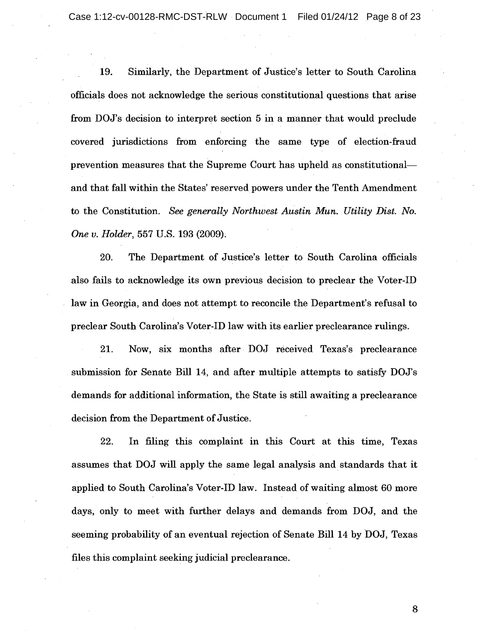Case 1:12-cv-00128-RMC-DST-RLW Document 1 Filed 01/24/12 Page 8 of 23

19. Similarly, the Department of Justice's letter to South Carolina officials does not acknowledge the serious constitutional questions that arise from DOJ's decision to interpret section 5 in a manner that would preclude covered jurisdictions from enforcing the same type of election-fraud prevention measures that the Supreme Court has upheld as constitutionaland that fall within the States' reserved powers under the Tenth Amendment to the Constitution. *See generally Northwest Austin Mun. Utility Dist. No. One v. Holder,* 557 U.S. 193 (2009);

20. The Department of Justice's letter to South Carolina officials also fails to acknowledge its own previous decision to preclear the Voter-ID law in Georgia, and does not attempt to reconcile the Department's refusal to preclear South Carolina's Voter-ID law with its earlier preclearance rulings.

21. Now, six months after· DOJ received Texas's preclearance submission for Senate Bill 14, and after multiple attempts to satisfy DOJ's demands for additional information, the State is still awaiting a preclearance decision from the Department of Justice.

22. In filing this complaint in this Court at this time, Texas assumes that DOJ will apply the same legal analysis and standards that it applied to South Carolina's Voter-ID law. Instead of waiting almost 60 more days, only to meet with further delays and demands from DOJ, and the seeming probability of an eventual rejection of Senate Bill 14 by DOJ, Texas files this complaint seeking judicial preclearance.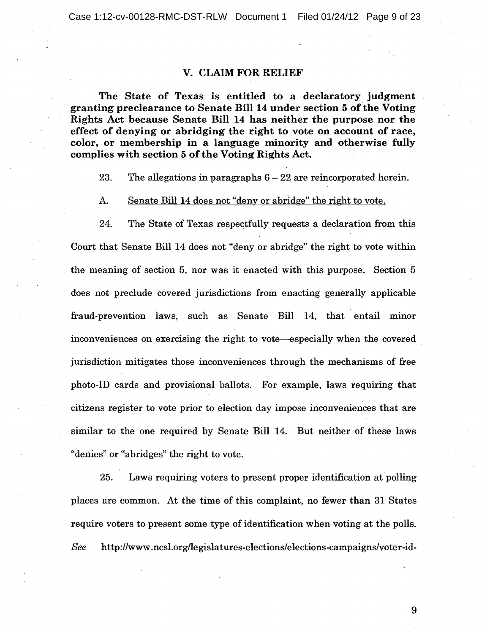Case 1:12-cv-00128-RMC-DST-RLW Document 1 Filed 01/24/12 Page 9 of 23

# V. CLAIM FOR RELIEF

The State of Texas is entitled to a declaratory judgment granting preclearance to Senate Bill 14 under section 5 of the Voting Rights Act because Senate Bill 14 has neither the purpose nor the effect of denying or abridging the right to vote on account of race, color, or membership in a language minority and otherwise fully complies with section 5 of the Voting Rights Act.

23. The allegations in paragraphs  $6 - 22$  are reincorporated herein.

### A. Senate Bill 14 does not "deny or abridge" the right to vote.

24. The State of Texas respectfully requests a declaration from this Court that Senate Bill 14 does not "deny or abridge" the right to vote within the meaning of section 5, nor was it enacted with this purpose. Section 5 does not preclude covered jurisdictions from enacting generally applicable fraud~prevention laws, such as Senate Bill 14, that entail minor inconveniences on exercising the right to vote-especially when the covered jurisdiction mitigates those inconveniences through the mechanisms of free photo-ID cards and provisional ballots. For example, laws requiring that citizens register to vote prior to election day impose inconveniences that are similar to the one required by Senate Bill 14. But neither of these laws "denies" or "abridges" the right to vote.

25. Laws requiring voters to present proper identification at polling places are common. At the time of this complaint, no fewer than 31 States require voters to present some type of identification when voting at the polis.  $\boldsymbol{See}$  http://www.ncsl.org/legislatures-elections/elections-campaigns/voter-id-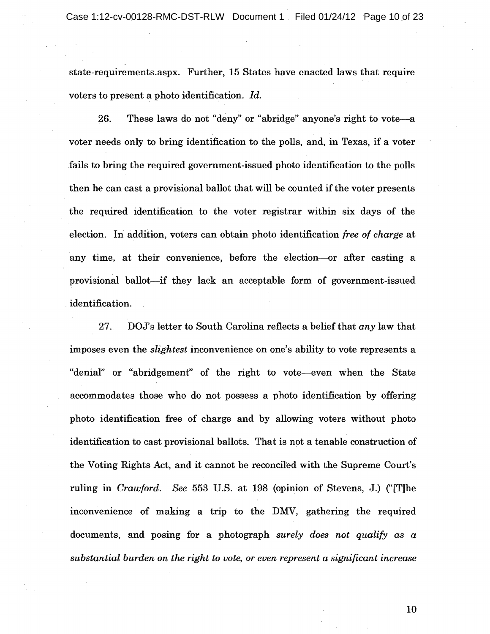state-requirements.aspx. Further, 15 States have enacted laws that require voters to present a photo identification. *Id.* 

26. These laws do not "deny" or "abridge" anyone's right to vote-a voter needs only to bring identification to the polls, and, in Texas, if a voter fails to bring the required government-issued photo identification to the polls then he can cast a provisional ballot that will be counted if the voter presents the required identification to the voter registrar within six days of the election. In addition, voters can obtain photo identification *free of charge* at any time, at their convenience, before the election---or after casting a provisional ballot-if they lack an acceptable form of government-issued identification.

27. DOJ's letter to South Carolina reflects a belief that *any* law that imposes even the *slightest* inconvenience on one's ability to vote represents a "denial" or "abridgement" of the right to vote-even when the State accommodates those who do not possess a photo identification by offering photo identification free of charge and by allowing voters without photo identification to cast provisional ballots. That is not a tenable construction of the Voting Rights Act, and it cannot be reconciled with the Supreme Court's ruling in *Crawford. See* 553 U.S. at 198 (opinion of Stevens, J.) ("[T]he inconvenience of making a trip to the DMV, gathering the required documents, and posing for a photograph *surely does not qualify as* a *substantial burden on the right to vote, or even represent a significant increase*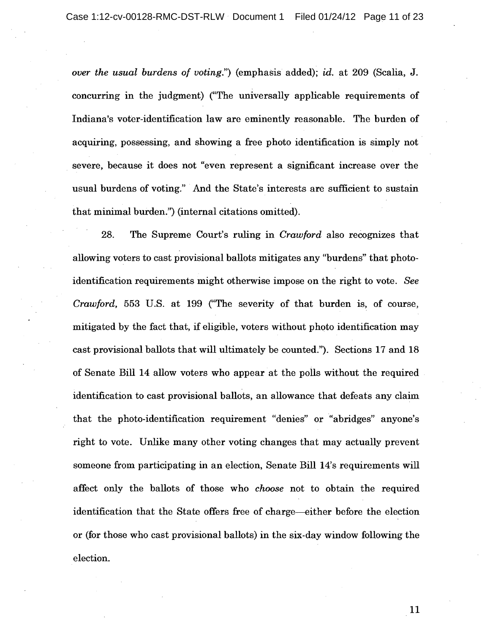*over the usual burdens of voting.*") (emphasis added); *id.* at 209 (Scalia, J. concurring in the judgment) ("The universally applicable requirements of Indiana's voter-identification law are eminently reasonable. The burden of acquiring, possessing, and showing a free photo identification is simply not· . severe, because it does not "even represent a significant increase over the usual burdens of voting." And the State's interests are sufficient to sustain that minimal burden.") (internal citations omitted).

28. The Supreme Court's ruling in *Crawford* also recognizes that allowing voters to cast provisional ballots mitigates any "burdens" that photoidentification requirements might otherwise impose on the right to vote. *See Crawford,* 553 U.S. at 199 ("The severity of that burden is, of course, mitigated by the fact that, if eligible, voters without photo identification may if cast provisional ballots that will ultimately be counted."). Sections 17 and 18 of Senate Bill 14 allow voters who appear at the polls without the required identification to cast provisional ballots, an allowance that defeats any claim that the photo-identification requirement "denies" or "abridges" anyone's right to vote. Unlike many other voting changes that may actually prevent someone from participating in an election, Senate Bill 14's requirements will affect only the ballots of those who *choose* not to obtain the required identification that the State offers free of charge--either before the election or (for those who cast provisional ballots) in the six-day window following the election.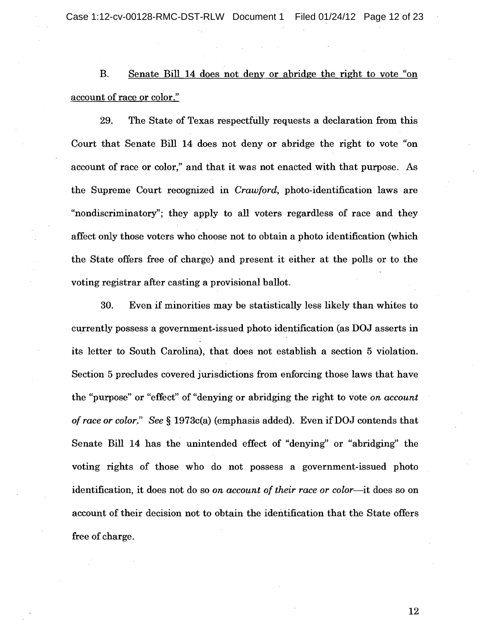Case 1:12-cv-00128-RMC-DST-RLW Document 1 Filed 01/24/12 Page 12 of 23

B. Senate Bill 14 does not deny or abridge the right to vote "on account of race or color."

29. The State of Texas respectfully requests a declaration from this Court that Senate Bill 14 does not deny or abridge the right to vote "on account of race or color," and that it was not enacted with that purpose. As the Supreme Court recognized in *Crawford,* photo-identification laws are "nondiscriminatory"; they apply to all voters regardless of race and they affect only those voters who choose not to obtain a photo identification (which the State offers free of charge) and present it either at the polls or to the voting registrar after casting a provisional ballot.

30. Even if minorities may be statistically less likely than whites to if currently possess a government-issued photo identification (as DOJ asserts in its letter to South Carolina), that does not establish a section 5 violation. Section 5 precludes covered jurisdictions from enforcing those laws that have the "purpose" or "effect" of "denying or abridging the right to vote *on account of race* or *color." See* § 1973c(a) (emphasis added). Even if DOJ contends that Senate Bill 14 has the unintended effect of "denying" or "abridging" the voting rights of those Who do not possess a government-issued photo identification, it does not do so *on account of their race* or *color-it* does so on account of their decision not to obtain the identification that the State offers free of charge. ce or color." See § 1973c(a) (emphasis added). Even if late Bill 14 has the unintended effect of "denying" or rights of those who do not possess a governmentification, it does not do so on account of their race or count of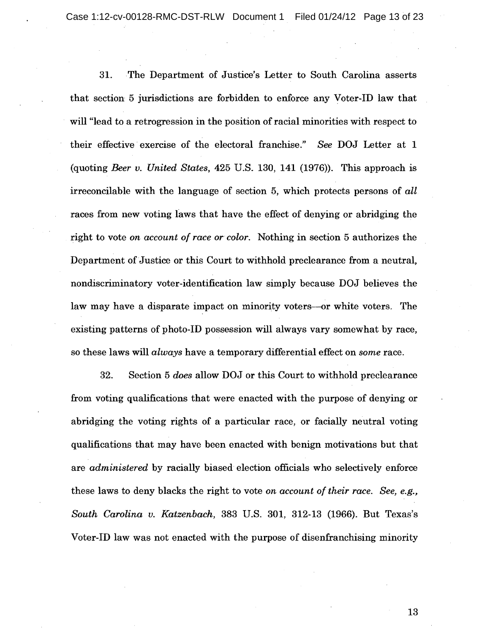Case 1:12-cv-00128-RMC-DST-RLW Document 1 Filed 01/24/12 Page 13 of 23

31. The Department of Justice's Letter to South Carolina asserts that section 5 jurisdictions are forbidden to enforce any Voter-ID law that will "lead to a retrogression in the position of racial minorities with respect to their effective· exercise of the electoral franchise." *See* DOJ Letter at 1 (quoting *Beer v. United States,* 425 U.S. 130, 141 (1976». This approach is irreconcilable with the language of section 5, which protects persons of *all*  races from new voting laws that have the effect of denying or abridging the right to vote *on account of race or color*. Nothing in section 5 authorizes the Department of Justice or this Court to withhold preclearance from a neutral, Department of Justice or this Court to withhold preclearance from a neutral, nondiscriminatory voter-identification law simply because DOJ believes the law may have a disparate impact on minority voters--or white voters. The existing patterns of photo-ID possession will always vary somewhat by race, so these laws will *always* have a temporary differential effect on *some* race.

32. Section 5 *does* allow DOJ or this Court to withhold preclearance from voting qualifications that were enacted with the purpose of denying or abridging the voting rights of a particular race, or facially neutral voting qualifications that may have been enacted with benign motivations but that are *administered* by racially biased election officials who selectively enforce these laws to deny blacks the right to vote *on account of their race. See, e.g., South Carolina v. Katzenbach,* 383 U.S. 301, 312-13 (1966). But Texas's Voter-ID law was not enacted with the purpose of disenfranchising minority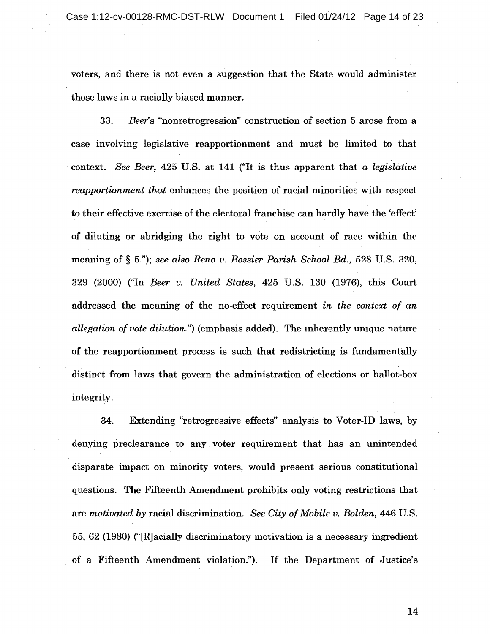voters, and there is not even a suggestion that the State would administer those laws in a racially biased manner.

*33. Beer's* "nonretrogression" construction of section 5 arose from a case involving legislative reapportionment and must be limited to that context. *See Beer,* 425 U.S. at 141 ("It is thus apparent that *a legislative reapportionment that* enhances the position of racial minorities with respect to their effective exercise of the electoral franchise can hardly have the 'effect'. of diluting or abridging the right to vote on account of race within the meaning of § 5."); *see also Reno v. Bossier Parish School Bd.,* 528 U.S. 320, 329 (2000) ("In *Beer v. United States,* 425 U.S. 130 (1976), this Court addressed the meaning of the no-effect requirement *in the context of an allegation of vote dilution.")* (emphasis added). The inherently unique nature of the reapportionment process is such that redistricting is fundamentally distinct from laws that govern the administration of elections or ballot-box integrity.

34. Extending "retrogressive effects" analysis to Voter-ID laws, by denying preclearance to any voter requirement that has an unintended disparate impact on minority voters, would present serious constitutional questions. The Fifteenth Amendment prohibits only voting restrictions that are *motivated by* racial discrimination. See City of Mobile v. Bolden, 446 U.S. 55, 62 (1980) ("[R]acially discriminatory motivation is a necessary ingredient of a Fifteenth Amendment violation."). If the Department of Justice's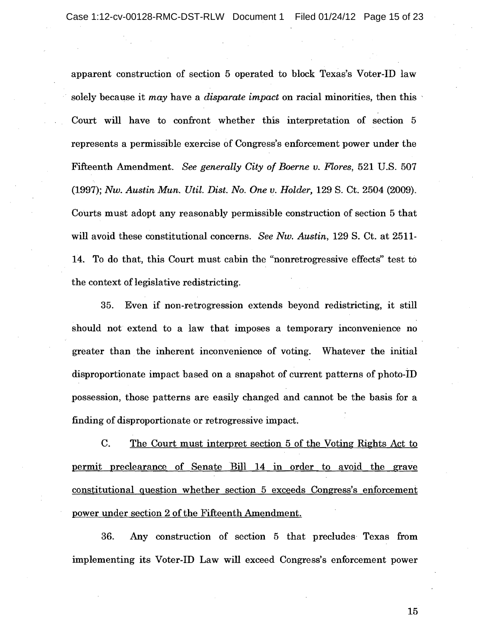apparent construction of section 5 operated to block Texas's Voter-ID law . solely because it *may* have a *disparate impact* on racial minorities, then this Court will have to confront whether this interpretation of section 5 represents a permissible exercise of Congress's enforcement power under the Fifteenth Amendment. *See generally City of Boerne v. Flores,* 521 U.S. 507 *(1997); Nw. Austin Mun. Util. Dist. No. One v. Holder,* 129 S. Ct. 2504 (2009). Courts must adopt any reasonably permissible construction of section 5 that will avoid these constitutional concerns. *See Nw. Austin,* 129 S. Ct. at 2511 14. To do that, this Court must cabin the "nonretrogressive effects" test to the context of legislative redistricting.

35. Even if non-retrogression extends beyond redistricting, it still should not extend to a law that imposes a temporary inconvenience no greater than the inherent inconvenience of voting. Whatever the initial disproportionate impact based on a snapshot of current patterns of photo-iD possession, those patterns are easily changed and cannot be the basis for a finding of disproportionate or retrogressive impact. id these constitutional concerns. See Nw. Austin, 129 S. Ct. at 2511-<br>do that, this Court must cabin the "nonretrogressive effects" test to<br>ext of legislative redistricting.<br>5. Even if non-retrogression extends beyond redi

C. The Court must interpret section 5 of the Voting Rights Act to permit preclearance of Senate Bill 14 in order to avoid the grave constitutional question whether section 5 exceeds Congress's enforcement power under section 2 of the Fifteenth Amendment.

36. Any construction of section 5 that precludes Texas from implementing its Voter-ID Law will exceed Congress's enforcement power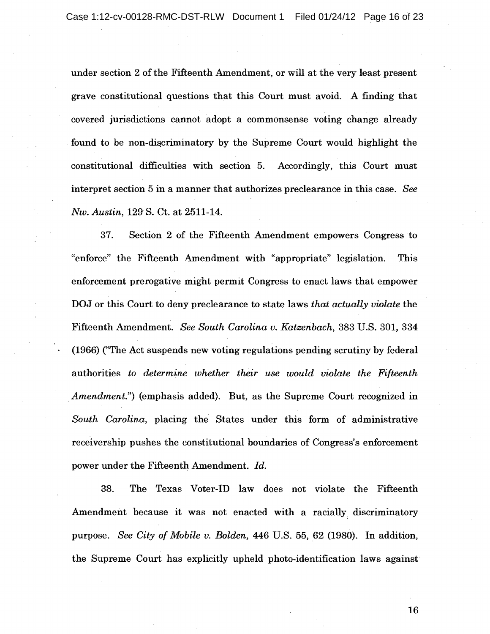under section 2 of the Fifteenth Amendment, or will at the very least present grave constitutional questions that this Court must avoid. A finding that covered jurisdictions cannot adopt a commonsense voting change already found to be non-discriminatory by the Supreme Court would highlight the constitutional difficulties with section 5. Accordingly, this Court must interpret section 5 in a manner that authorizes preclearance in this case. *See Nw. Austin,* 129S. Ct. at 2511-14.

37. Section 2 of the Fifteenth Amendment empowers Congress to "enforce" the Fifteenth Amendment with "appropriate" legislation. This enforcement prerogative might permit Congress to enact laws that empower DOJ or this Court to deny preclearance to state laws *that actually violate* the Fifteenth Amendment. *See South Carolina v. Katzenbach,* 383 U.S. 301, 334 (1966) ("The Act suspends new voting regulations pending scrutiny by federal authorities *to determine whether their use would violate the Fifteenth Amendment.*") (emphasis added). But, as the Supreme Court recognized in *South Carolina,* placing the States under this form of administrative receivership pushes the constitutional boundaries of Congress's enforcement power under the Fifteenth Amendment. *Id.* 

38. The Texas Voter-ID law does not violate the Fifteenth Amendment because it was not enacted with a racially, discriminatory purpose. *See City of Mobile v. Bolden,* 446 U.S. 55, 62 (1980). In addition, the Supreme Court has explicitly upheld photo-identification laws against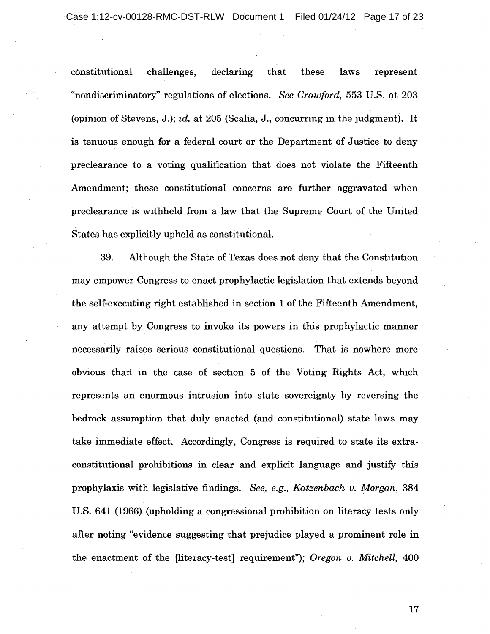constitutional challenges, declaring that these laws represent "nondiscriminatory" regulations of elections. *See Crawford,* 553 U.S. at 203 (opinion of Stevens, J.); *id.* at 205 (Scalia, J., concurring in the judgment). It is tenuous enough for a federal court or the Department of Justice to deny preclearance to a voting qualification. that does not violate the Fifteenth Amendment; these constitutional concerns are further aggravated when preclearance is withheld from a law that the Supreme Court of the United States has explicitly upheld as constitutional.

39. Although the State of Texas does not deny that the Constitution may empower Congress to enact prophylactic legislation that extends beyond the self-executing right established in section 1 of the Fifteenth Amendment, any attempt by Congress to invoke its powers in this prophylactic manner necessarily raises serious constitutional questions. That is nowhere more obvious than in the case of section 5 of the Voting Rights Act, which represents an enormous intrusion into state sovereignty by reversing the bedrock assumption that duly enacted (and constitutional) state laws may take immediate effect. Accordingly, Congress is required to state its extraconstitutional prohibitions in clear and explicit language and justify this prophylaxis with legislative findings. *See, e.g., Katzenbach v. Morgan, 384*  U.S. 641 (1966) (upholding a congressional prohibition on literacy tests only after noting "evidence suggesting that prejudice played a prominent role in the enactment of the [literacy-test] requirement"); *Oregon v. Mitchell, 400*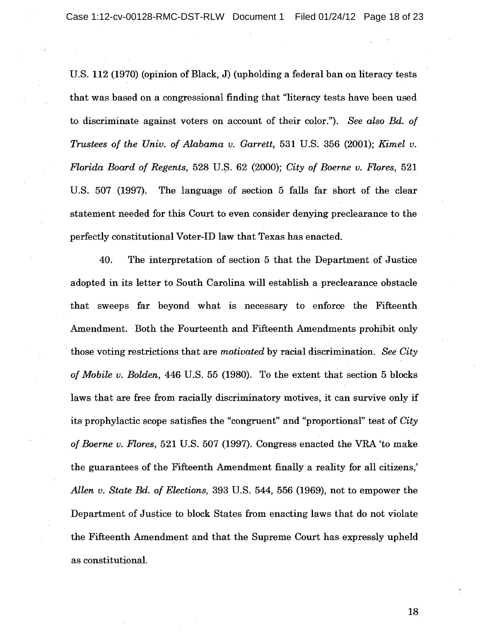U.S.  $112$  (1970) (opinion of Black, J) (upholding a federal ban on literacy tests that was based on a congressional finding that "literacy tests have been used to discriminate against voters on account of their color."). *See also Bd. of Trustees of the Univ. of Alabama v. Garrett,* 531 U.S. 356 (2001); *Kimel v. Florida Board of Regents,* 528 U.\$. 62 (2000); *City of Boerne v. Flores, 521*  U.S. 507 (1997). The language of section 5 falls far short of the clear statement needed for this Court to even consider denying preclearance to the perfectly constitutional Voter-ID law that Texas has enacted.

40. The interpretation of section 5 that the Department of Justice adopted in its letter to South Carolina will establish a preclearance obstacle that sweeps far beyond what is necessary to enforce the Fifteenth Amendment. Both the Fourteenth and Fifteenth Amendments prohibit only " those voting restrictions that are *motivated* by racial discrimination. *See City of Mobile v. Bolden,* 446 U.S. 55 (1980). To the extent that section 5 blocks laws that are free from racially discriminatory motives, it can survive only if its prophylactic scope satisfies the "congruent" and "proportional" test of *City of Boerne v. Flores,* 521 U.S. 507(1997). Congress enacted the VRA 'to make the guarantees of the Fifteenth Amendment finally a reality for all citizens,' *Allen v. State Bd. of Elections,* 393 U.S. 544, 556 (1969), not to empower the Department of Justice to block States from enacting laws that do not violate the Fifteenth Amendment and that the Supreme Court has expressly upheld as constitutional.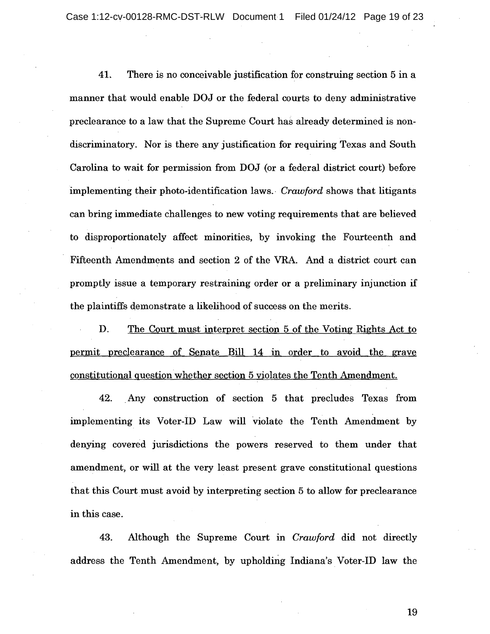41. There is no conceivable justification for construing section 5 in a manner that would enable DOJ or the federal courts to deny administrative preclearance to a law that the Supreme Court has already determined is nondiscriminatory. Nor is there any justification for requiring Texas and South Carolina to wait for permission from DOJ (or a federal district court) before implementing their photo-identification laws., *Crawford* shows that litigants can bring immediate challenges to new voting requirements that are believed to disproportionately affect minorities, by invoking the Fourteenth and Fifteenth Amendments and section 2 of the VRA. And a district court can promptly issue a temporary restraining order or a preliminary injunction if the plaintiffs demonstrate a likelihood of success on the merits.

D. The Court must interpret section 5 of the Voting Rights Act to permit preclearance of Senate Bill 14 in order to avoid the grave constitutional question whether section 5 violates the Tenth Amendment.

42. . Any construction of section 5 that precludes Texas from implementing its Voter-ID Law will 'violate the Tenth Amendment by denying covered jurisdictions the powers reserved to them under that amendment, or will at the very least present grave constitutional questions that this Court must avoid by interpreting section 5 to allow for preclearance in this case.

43. Although the Supreme Court in *Crawford* did not directly address the Tenth Amendment, by upholding Indiana's Voter-ID law the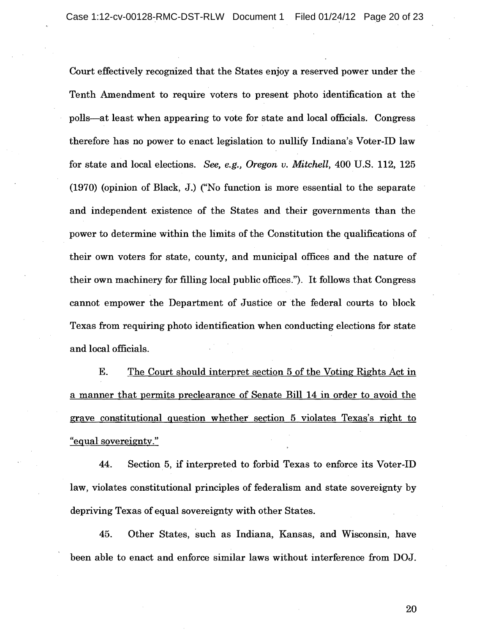Court effectively recognized that the States enjoy a reserved power under the Tenth Amendment to require voters to present photo identification at the polls-at least when appearing to vote for state and local officials. Congress therefore has no power to enact legislation to nullify Indiana's Voter-ID law for state and local elections. *See, e.g., Oregon v. Mitchell,* 400 U.S. 112, 125 (1970) (opinion of Black, J.) ("No function is more essential to the separate and independent existence of the States and their governments than the power to determine within the limits of the Constitution the qualifications of their own voters for state, county, and municipal offices and the nature of their own machinery for filling local public offices."). It follows that Congress cannot empower the Department of Justice or the federal courts to block Texas from requiring photo identification when conducting elections for state and local officials.

E. The Court should interpret section 5 of the Voting Rights Act in a manner that permits preclearance of Senate Bill 14 in order to avoid the grave constitutional guestion whether section 5 violates Texas's right to "egual sovereignty."

44. Section 5, if interpreted to forbid Texas to enforce its Voter-ID law, violates constitutional principles of federalism and state sovereignty by depriving Texas of equal sovereignty with other States.

45. Other States, such as Indiana, Kansas, and Wisconsin, have been able to enact and enforce similar laws without interference from DOJ.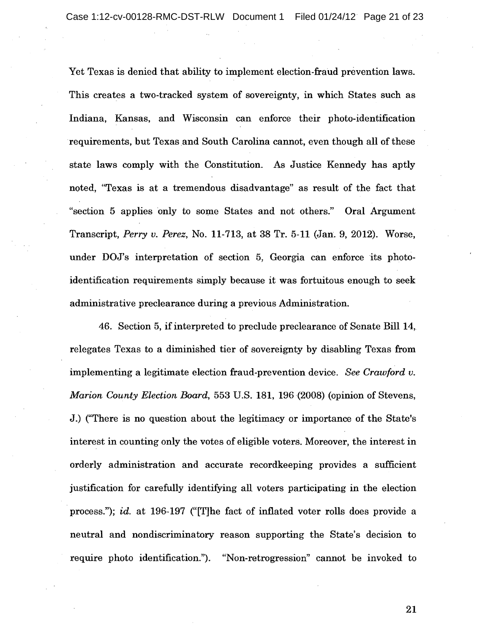Yet Texas is denied that ability to implement election-fraud prevention laws. This creates a two-tracked system of sovereignty, in which States such as Indiana, Kansas, and Wisconsin can enforce their photo-identification requirements, but Texas and South Carolina cannot, even though all of these state laws comply with the Constitution. As Justice Kennedy has aptly noted, "Texas is at a tremendous disadvantage" as result of the fact that "section 5 applies only to some States and not others." Oral Argument Transcript, *Perry v. Perez,* No. 11-713, at 38 Tr. 5-11 (Jan. 9, 2012). Worse, under DOJ's interpretation of section 5, Georgia can enforce its photoidentification requirements simply because it was fortuitous enough to seek administrative preclearance during a previous Administration.

46. Section 5, if interpreted to preclude preclearance of Senate Bill 14, relegates Texas to a diminished tier of sovereignty by disabling Texas from implementing a legitimate election fraud-prevention device. *See Crawford v. Marion County Election Board,* 553 U.S. 181, 196 (2008) (opinion of Stevens, J.) ("There is no question about the legitimacy or importance of the State's interest in counting only the votes of eligible voters. Moreover, the interest in orderly administration and accurate recordkeeping provides a sufficient justification for carefully identifying all voters participating in the election process."); *id.* at 196-197 ("[T]he fact of inflated voter rolls does provide a neutral and nondiscriminatory reason supporting the State's decision to require photo identification."). "Non-retrogression" cannot be invoked to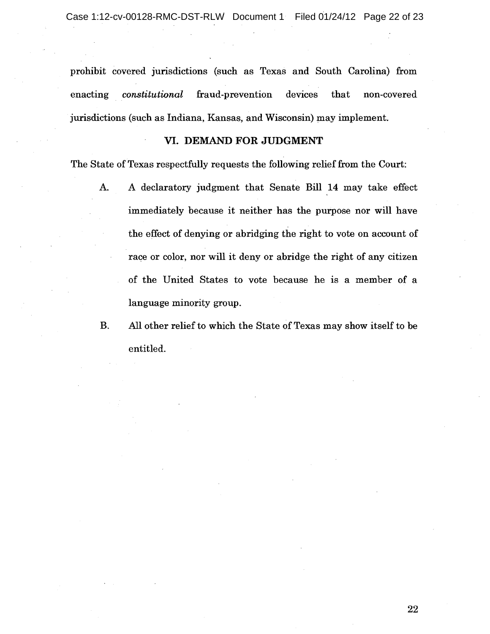prohibit covered jurisdictions (such as Texas and South Carolina) from enacting *constitutional* fraud-prevention devices that non-covered jurisdictions (such as Indiana, Kansas, and Wisconsin) may implement.

## VI. DEMAND FOR JUDGMENT

The State of Texas respectfully requests the following relief from the Court:

- A. A declaratory judgment that Senate Bill 14 may take effect immediately because it neither has the purpose nor will have the effect of denying or abridging the right to vote on account of race or color, nor will it deny or abridge the right of any citizen of the United States to vote because he is a member of a language minority group. of Texas respectfully requests the following relief from<br>A declaratory judgment that Senate Bill 14 may<br>immediately because it neither has the purpose n<br>the effect of denying or abridging the right to vote o<br>race or color,
- B. All other relief to which the State of Texas may show itself to be entitled.